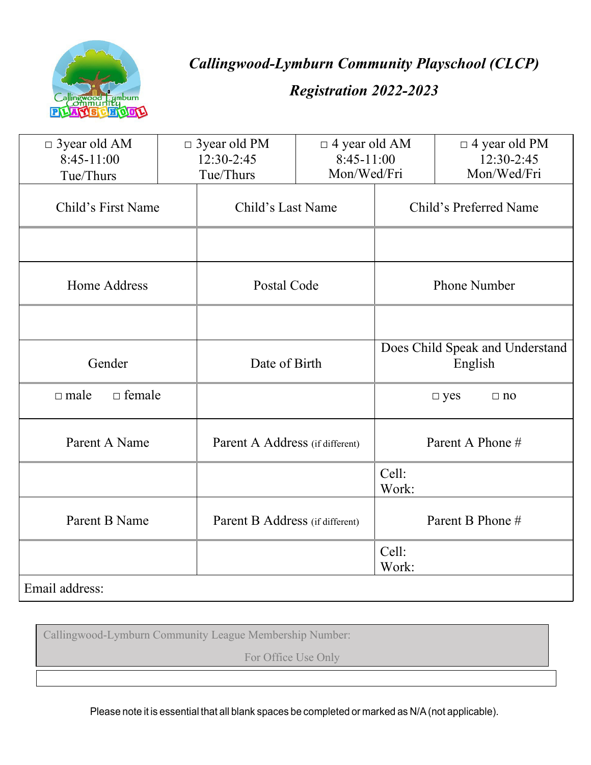

*Callingwood-Lymburn Community Playschool (CLCP)* 

# *Registration 2022-2023*

| $\Box$ 3 year old AM<br>$8:45-11:00$ | $\Box$ 3 year old PM<br>12:30-2:45 |                                 | $\Box$ 4 year old AM<br>$8:45-11:00$ |                                            | $\Box$ 4 year old PM<br>12:30-2:45 |  |
|--------------------------------------|------------------------------------|---------------------------------|--------------------------------------|--------------------------------------------|------------------------------------|--|
| Tue/Thurs                            |                                    | Tue/Thurs                       | Mon/Wed/Fri                          |                                            | Mon/Wed/Fri                        |  |
| Child's First Name                   |                                    | Child's Last Name               |                                      |                                            | Child's Preferred Name             |  |
|                                      |                                    |                                 |                                      |                                            |                                    |  |
| Home Address                         |                                    | Postal Code                     |                                      |                                            | <b>Phone Number</b>                |  |
|                                      |                                    |                                 |                                      |                                            |                                    |  |
| Gender                               |                                    | Date of Birth                   |                                      | Does Child Speak and Understand<br>English |                                    |  |
| $\Box$ female<br>$\Box$ male         |                                    |                                 |                                      |                                            | $\square$ yes<br>$\Box$ no         |  |
| Parent A Name                        |                                    |                                 | Parent A Address (if different)      |                                            | Parent A Phone #                   |  |
|                                      |                                    |                                 |                                      | Cell:<br>Work:                             |                                    |  |
| Parent B Name                        |                                    | Parent B Address (if different) |                                      |                                            | Parent B Phone #                   |  |
|                                      |                                    |                                 |                                      | Cell:<br>Work:                             |                                    |  |
| Email address:                       |                                    |                                 |                                      |                                            |                                    |  |

Callingwood-Lymburn Community League Membership Number:

For Office Use Only

Please note it is essential that all blank spaces be completed or marked as N/A(not applicable).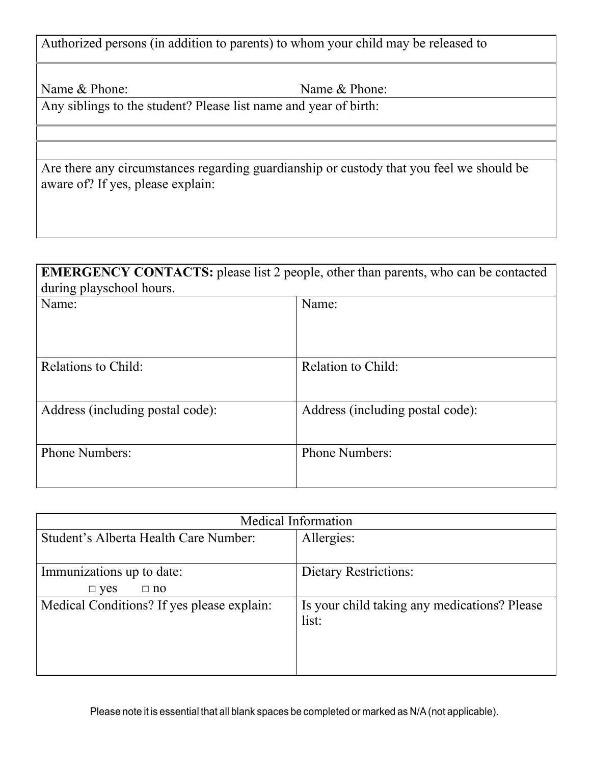Authorized persons (in addition to parents) to whom your child may be released to

Name & Phone: Name & Phone:

Any siblings to the student? Please list name and year of birth:

Are there any circumstances regarding guardianship or custody that you feel we should be aware of? If yes, please explain:

### **EMERGENCY CONTACTS:** please list 2 people, other than parents, who can be contacted during playschool hours.

| Name:                            | Name:                            |
|----------------------------------|----------------------------------|
| Relations to Child:              | Relation to Child:               |
| Address (including postal code): | Address (including postal code): |
| <b>Phone Numbers:</b>            | <b>Phone Numbers:</b>            |

| Medical Information                                                   |                                              |  |  |  |  |
|-----------------------------------------------------------------------|----------------------------------------------|--|--|--|--|
| Student's Alberta Health Care Number:                                 | Allergies:                                   |  |  |  |  |
| Immunizations up to date:                                             | <b>Dietary Restrictions:</b>                 |  |  |  |  |
| $\Box$ yes<br>$\Box$ no<br>Medical Conditions? If yes please explain: | Is your child taking any medications? Please |  |  |  |  |
|                                                                       | list:                                        |  |  |  |  |
|                                                                       |                                              |  |  |  |  |
|                                                                       |                                              |  |  |  |  |

Please note it is essential that all blank spaces be completed or marked as N/A(not applicable).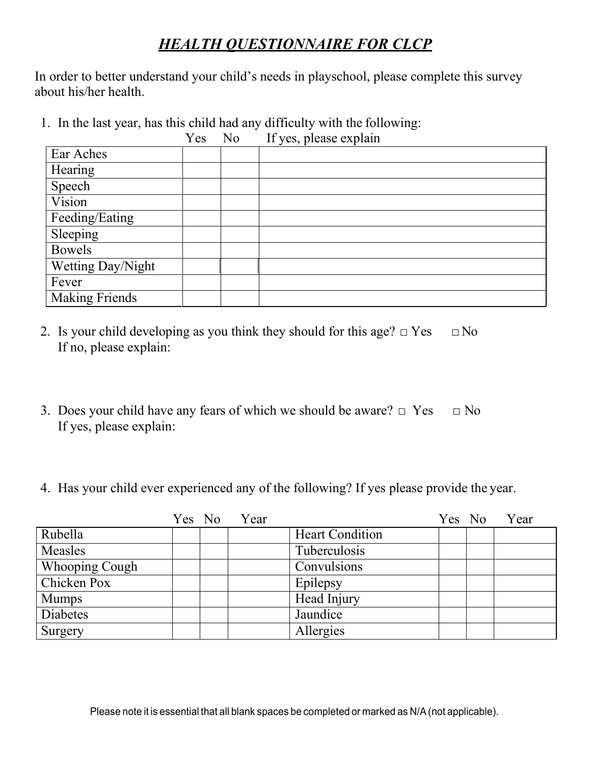# *HEALTH QUESTIONNAIRE FOR CLCP*

In order to better understand your child's needs in playschool, please complete this survey about his/her health.

1. In the last year, has this child had any difficulty with the following:

|                       | Yes | No | If yes, please explain |
|-----------------------|-----|----|------------------------|
| Ear Aches             |     |    |                        |
| Hearing               |     |    |                        |
| Speech                |     |    |                        |
| Vision                |     |    |                        |
| Feeding/Eating        |     |    |                        |
| Sleeping              |     |    |                        |
| <b>Bowels</b>         |     |    |                        |
| Wetting Day/Night     |     |    |                        |
| Fever                 |     |    |                        |
| <b>Making Friends</b> |     |    |                        |

- 2. Is your child developing as you think they should for this age?  $\Box$  Yes  $\Box$  No If no, please explain:
- 3. Does your child have any fears of which we should be aware?  $\Box$  Yes  $\Box$  No If yes, please explain:
- 4. Has your child ever experienced any of the following? If yes please provide the year.

|                       |  | Yes No Year |                        |  | Yes No Year |
|-----------------------|--|-------------|------------------------|--|-------------|
| Rubella               |  |             | <b>Heart Condition</b> |  |             |
| Measles               |  |             | Tuberculosis           |  |             |
| <b>Whooping Cough</b> |  |             | Convulsions            |  |             |
| Chicken Pox           |  |             | Epilepsy               |  |             |
| <b>Mumps</b>          |  |             | Head Injury            |  |             |
| Diabetes              |  |             | Jaundice               |  |             |
| Surgery               |  |             | Allergies              |  |             |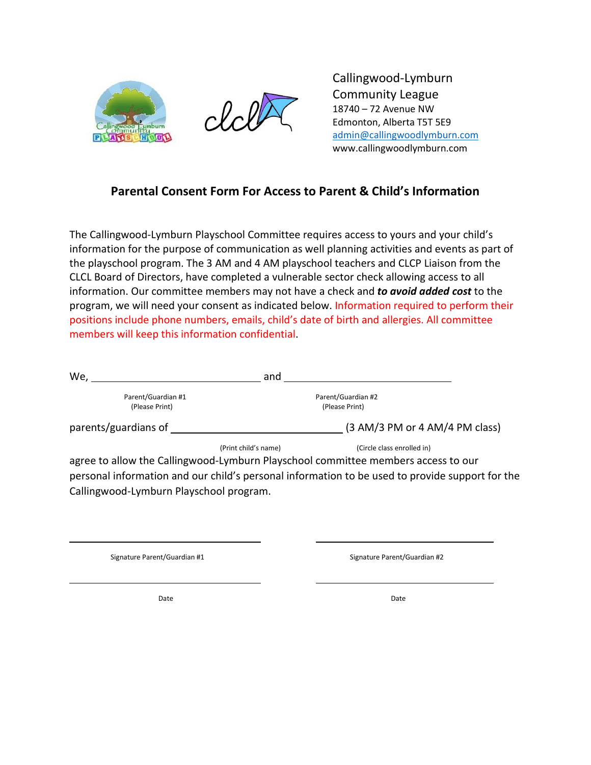



Callingwood-Lymburn Community League 18740 – 72 Avenue NW Edmonton, Alberta T5T 5E9 [admin@callingwoodlymburn.com](mailto:admin@callingwoodlymburn.com) www.callingwoodlymburn.com

#### **Parental Consent Form For Access to Parent & Child's Information**

The Callingwood-Lymburn Playschool Committee requires access to yours and your child's information for the purpose of communication as well planning activities and events as part of the playschool program. The 3 AM and 4 AM playschool teachers and CLCP Liaison from the CLCL Board of Directors, have completed a vulnerable sector check allowing access to all information. Our committee members may not have a check and *to avoid added cost* to the program, we will need your consent as indicated below. Information required to perform their positions include phone numbers, emails, child's date of birth and allergies. All committee members will keep this information confidential.

| We,                  | and                  |                                                                                                                      |
|----------------------|----------------------|----------------------------------------------------------------------------------------------------------------------|
| Parent/Guardian #1   |                      | Parent/Guardian #2                                                                                                   |
| (Please Print)       |                      | (Please Print)                                                                                                       |
| parents/guardians of |                      | (3 AM/3 PM or 4 AM/4 PM class)                                                                                       |
|                      | (Print child's name) | (Circle class enrolled in)                                                                                           |
|                      |                      | agree to allow the Callingwood-Lymburn Playschool committee members access to our                                    |
|                      |                      | to consider for complete that the stability of complete force and the complete the stability of the complete for all |

personal information and our child's personal information to be used to provide support for the Callingwood-Lymburn Playschool program.

Signature Parent/Guardian #1 Signature Parent/Guardian #2

Date **Date Date Date Date Date Date Date Date Date Date**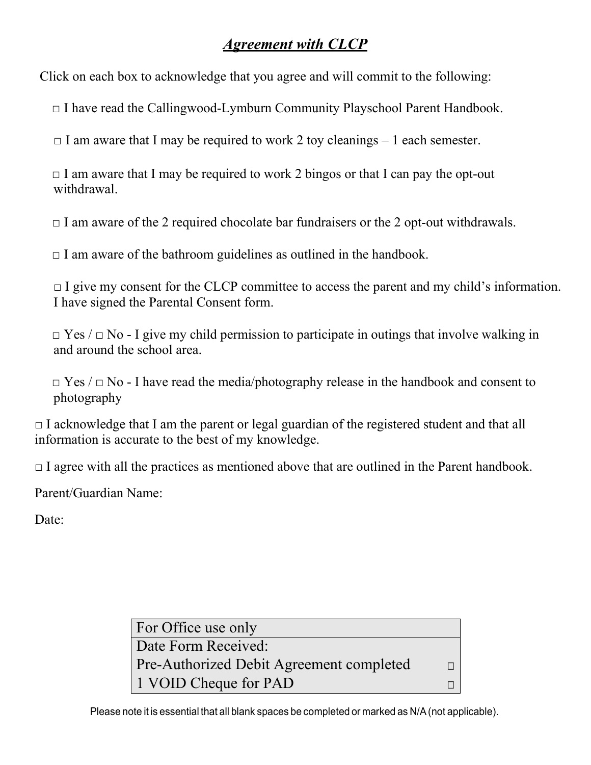## *Agreement with CLCP*

Click on each box to acknowledge that you agree and will commit to the following:

 $\Box$  I have read the Callingwood-Lymburn Community Playschool Parent Handbook.

 $\Box$  I am aware that I may be required to work 2 toy cleanings – 1 each semester.

 $\Box$  I am aware that I may be required to work 2 bingos or that I can pay the opt-out withdrawal.

 $\Box$  I am aware of the 2 required chocolate bar fundraisers or the 2 opt-out withdrawals.

 $\Box$  I am aware of the bathroom guidelines as outlined in the handbook.

 $\Box$  I give my consent for the CLCP committee to access the parent and my child's information. I have signed the Parental Consent form.

 $\Box$  Yes /  $\Box$  No - I give my child permission to participate in outings that involve walking in and around the school area.

 $\Box$  Yes /  $\Box$  No - I have read the media/photography release in the handbook and consent to photography

 $\Box$  I acknowledge that I am the parent or legal guardian of the registered student and that all information is accurate to the best of my knowledge.

 $\Box$  I agree with all the practices as mentioned above that are outlined in the Parent handbook.

Parent/Guardian Name:

Date:

| For Office use only                             |  |
|-------------------------------------------------|--|
| Date Form Received:                             |  |
| <b>Pre-Authorized Debit Agreement completed</b> |  |
| 1 VOID Cheque for PAD                           |  |

Please note it is essential that all blank spaces be completed or marked as N/A(not applicable).